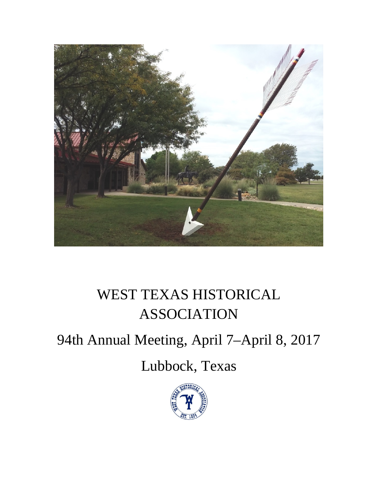

# WEST TEXAS HISTORICAL ASSOCIATION

# 94th Annual Meeting, April 7–April 8, 2017

# Lubbock, Texas

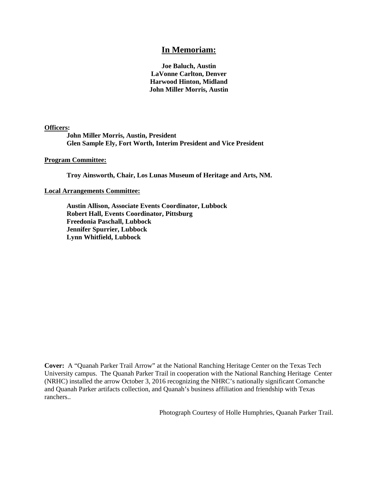#### **In Memoriam:**

**Joe Baluch, Austin LaVonne Carlton, Denver Harwood Hinton, Midland John Miller Morris, Austin**

**Officers:**

**John Miller Morris, Austin, President Glen Sample Ely, Fort Worth, Interim President and Vice President**

**Program Committee:**

**Troy Ainsworth, Chair, Los Lunas Museum of Heritage and Arts, NM.**

#### **Local Arrangements Committee:**

**Austin Allison, Associate Events Coordinator, Lubbock Robert Hall, Events Coordinator, Pittsburg Freedonia Paschall, Lubbock Jennifer Spurrier, Lubbock Lynn Whitfield, Lubbock**

**Cover:** A "Quanah Parker Trail Arrow" at the National Ranching Heritage Center on the Texas Tech University campus. The Quanah Parker Trail in cooperation with the National Ranching Heritage Center (NRHC) installed the arrow October 3, 2016 recognizing the NHRC's nationally significant Comanche and Quanah Parker artifacts collection, and Quanah's business affiliation and friendship with Texas ranchers..

Photograph Courtesy of Holle Humphries, Quanah Parker Trail.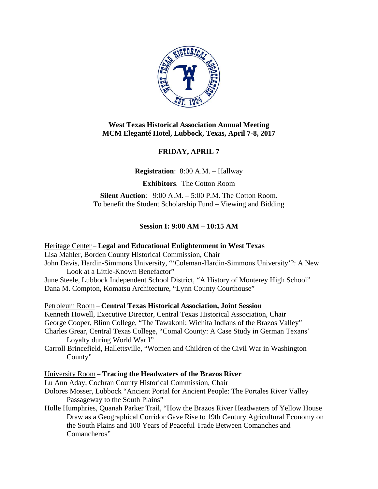

# **West Texas Historical Association Annual Meeting MCM Eleganté Hotel, Lubbock, Texas, April 7-8, 2017**

# **FRIDAY, APRIL 7**

**Registration**: 8:00 A.M. – Hallway

**Exhibitors**. The Cotton Room

**Silent Auction:** 9:00 A.M. – 5:00 P.M. The Cotton Room. To benefit the Student Scholarship Fund – Viewing and Bidding

# **Session I: 9:00 AM – 10:15 AM**

Heritage Center – **Legal and Educational Enlightenment in West Texas** Lisa Mahler, Borden County Historical Commission, Chair John Davis, Hardin-Simmons University, "'Coleman-Hardin-Simmons University'?: A New Look at a Little-Known Benefactor" June Steele, Lubbock Independent School District, "A History of Monterey High School"

Dana M. Compton, Komatsu Architecture, "Lynn County Courthouse"

Petroleum Room – **Central Texas Historical Association, Joint Session**

Kenneth Howell, Executive Director, Central Texas Historical Association, Chair George Cooper, Blinn College, "The Tawakoni: Wichita Indians of the Brazos Valley" Charles Grear, Central Texas College, "Comal County: A Case Study in German Texans' Loyalty during World War I"

Carroll Brincefield, Hallettsville, "Women and Children of the Civil War in Washington County"

# University Room – **Tracing the Headwaters of the Brazos River**

- Lu Ann Aday, Cochran County Historical Commission, Chair
- Dolores Mosser, Lubbock "Ancient Portal for Ancient People: The Portales River Valley Passageway to the South Plains"
- Holle Humphries, Quanah Parker Trail, "How the Brazos River Headwaters of Yellow House Draw as a Geographical Corridor Gave Rise to 19th Century Agricultural Economy on the South Plains and 100 Years of Peaceful Trade Between Comanches and Comancheros"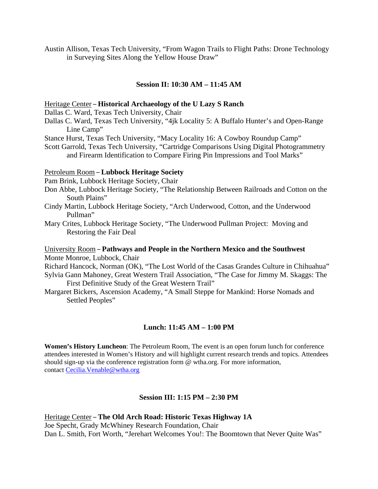Austin Allison, Texas Tech University, "From Wagon Trails to Flight Paths: Drone Technology in Surveying Sites Along the Yellow House Draw"

#### **Session II: 10:30 AM – 11:45 AM**

#### Heritage Center – **Historical Archaeology of the U Lazy S Ranch**

Dallas C. Ward, Texas Tech University, Chair

- Dallas C. Ward, Texas Tech University, "4jk Locality 5: A Buffalo Hunter's and Open-Range Line Camp"
- Stance Hurst, Texas Tech University, "Macy Locality 16: A Cowboy Roundup Camp"

Scott Garrold, Texas Tech University, "Cartridge Comparisons Using Digital Photogrammetry and Firearm Identification to Compare Firing Pin Impressions and Tool Marks"

#### Petroleum Room – **Lubbock Heritage Society**

Pam Brink, Lubbock Heritage Society, Chair

- Don Abbe, Lubbock Heritage Society, "The Relationship Between Railroads and Cotton on the South Plains"
- Cindy Martin, Lubbock Heritage Society, "Arch Underwood, Cotton, and the Underwood Pullman"
- Mary Crites, Lubbock Heritage Society, "The Underwood Pullman Project: Moving and Restoring the Fair Deal

## University Room – **Pathways and People in the Northern Mexico and the Southwest** Monte Monroe, Lubbock, Chair

Richard Hancock, Norman (OK), "The Lost World of the Casas Grandes Culture in Chihuahua"

- Sylvia Gann Mahoney, Great Western Trail Association, "The Case for Jimmy M. Skaggs: The First Definitive Study of the Great Western Trail"
- Margaret Bickers, Ascension Academy, "A Small Steppe for Mankind: Horse Nomads and Settled Peoples"

# **Lunch: 11:45 AM – 1:00 PM**

**Women's History Luncheon**: The Petroleum Room, The event is an open forum lunch for conference attendees interested in Women's History and will highlight current research trends and topics. Attendees should sign-up via the conference registration form @ wtha.org. For more information, contact [Cecilia.Venable@wtha.org](mailto:Cecilia.Venable@wtha.org)

#### **Session III: 1:15 PM – 2:30 PM**

Heritage Center – **The Old Arch Road: Historic Texas Highway 1A** Joe Specht, Grady McWhiney Research Foundation, Chair Dan L. Smith, Fort Worth, "Jerehart Welcomes You!: The Boomtown that Never Quite Was"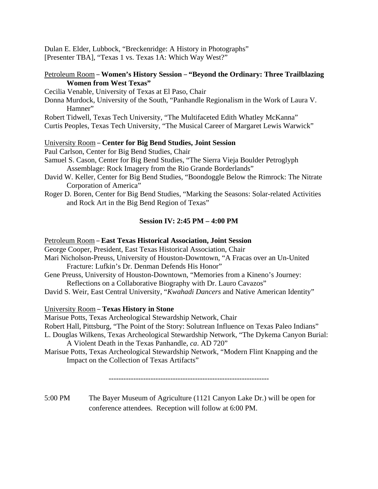Dulan E. Elder, Lubbock, "Breckenridge: A History in Photographs" [Presenter TBA], "Texas 1 vs. Texas 1A: Which Way West?"

### Petroleum Room – **Women's History Session** – **"Beyond the Ordinary: Three Trailblazing Women from West Texas"**

Cecilia Venable, University of Texas at El Paso, Chair

Donna Murdock, University of the South, "Panhandle Regionalism in the Work of Laura V. Hamner"

Robert Tidwell, Texas Tech University, "The Multifaceted Edith Whatley McKanna"

Curtis Peoples, Texas Tech University, "The Musical Career of Margaret Lewis Warwick"

# University Room – **Center for Big Bend Studies, Joint Session**

Paul Carlson, Center for Big Bend Studies, Chair

Samuel S. Cason, Center for Big Bend Studies, "The Sierra Vieja Boulder Petroglyph Assemblage: Rock Imagery from the Rio Grande Borderlands"

- David W. Keller, Center for Big Bend Studies, "Boondoggle Below the Rimrock: The Nitrate Corporation of America"
- Roger D. Boren, Center for Big Bend Studies, "Marking the Seasons: Solar-related Activities and Rock Art in the Big Bend Region of Texas"

# **Session IV: 2:45 PM – 4:00 PM**

#### Petroleum Room – **East Texas Historical Association, Joint Session**

George Cooper, President, East Texas Historical Association, Chair

- Mari Nicholson-Preuss, University of Houston-Downtown, "A Fracas over an Un-United Fracture: Lufkin's Dr. Denman Defends His Honor"
- Gene Preuss, University of Houston-Downtown, "Memories from a Kineno's Journey: Reflections on a Collaborative Biography with Dr. Lauro Cavazos"
- David S. Weir, East Central University, "*Kwahadi Dancers* and Native American Identity"

# University Room – **Texas History in Stone**

Marisue Potts, Texas Archeological Stewardship Network, Chair

Robert Hall, Pittsburg, "The Point of the Story: Solutrean Influence on Texas Paleo Indians"

L. Douglas Wilkens, Texas Archeological Stewardship Network, "The Dykema Canyon Burial: A Violent Death in the Texas Panhandle, *ca*. AD 720"

Marisue Potts, Texas Archeological Stewardship Network, "Modern Flint Knapping and the Impact on the Collection of Texas Artifacts"

-----------------------------------------------------------------

5:00 PM The Bayer Museum of Agriculture (1121 Canyon Lake Dr.) will be open for conference attendees. Reception will follow at 6:00 PM.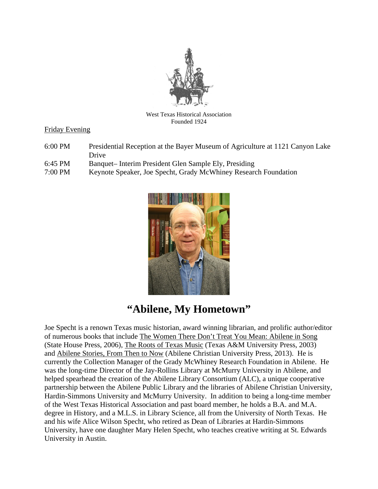

West Texas Historical Association Founded 1924

# Friday Evening

- 6:00 PM Presidential Reception at the Bayer Museum of Agriculture at 1121 Canyon Lake Drive
- 6:45 PM Banquet– Interim President Glen Sample Ely, Presiding
- 7:00 PM Keynote Speaker, Joe Specht, Grady McWhiney Research Foundation



# **"Abilene, My Hometown"**

Joe Specht is a renown Texas music historian, award winning librarian, and prolific author/editor of numerous books that include The Women There Don't Treat You Mean: Abilene in Song (State House Press, 2006), The Roots of Texas Music (Texas A&M University Press, 2003) and Abilene Stories, From Then to Now (Abilene Christian University Press, 2013). He is currently the Collection Manager of the Grady McWhiney Research Foundation in Abilene. He was the long-time Director of the Jay-Rollins Library at McMurry University in Abilene, and helped spearhead the creation of the Abilene Library Consortium (ALC), a unique cooperative partnership between the Abilene Public Library and the libraries of Abilene Christian University, Hardin-Simmons University and McMurry University. In addition to being a long-time member of the West Texas Historical Association and past board member, he holds a B.A. and M.A. degree in History, and a M.L.S. in Library Science, all from the University of North Texas. He and his wife Alice Wilson Specht, who retired as Dean of Libraries at Hardin-Simmons University, have one daughter Mary Helen Specht, who teaches creative writing at St. Edwards University in Austin.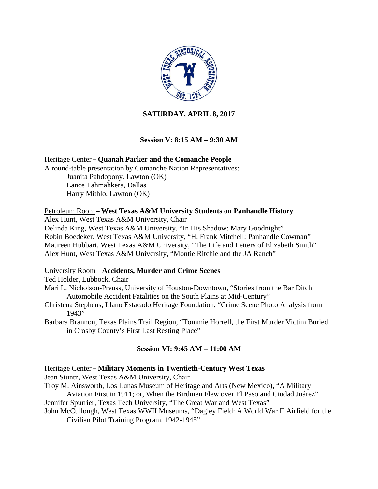

# **SATURDAY, APRIL 8, 2017**

# **Session V: 8:15 AM – 9:30 AM**

Heritage Center – **Quanah Parker and the Comanche People** A round-table presentation by Comanche Nation Representatives: Juanita Pahdopony, Lawton (OK) Lance Tahmahkera, Dallas Harry Mithlo, Lawton (OK)

## Petroleum Room – **West Texas A&M University Students on Panhandle History**

Alex Hunt, West Texas A&M University, Chair

Delinda King, West Texas A&M University, "In His Shadow: Mary Goodnight" Robin Boedeker, West Texas A&M University, "H. Frank Mitchell: Panhandle Cowman" Maureen Hubbart, West Texas A&M University, "The Life and Letters of Elizabeth Smith" Alex Hunt, West Texas A&M University, "Montie Ritchie and the JA Ranch"

#### University Room – **Accidents, Murder and Crime Scenes**

Ted Holder, Lubbock, Chair

- Mari L. Nicholson-Preuss, University of Houston-Downtown, "Stories from the Bar Ditch: Automobile Accident Fatalities on the South Plains at Mid-Century"
- Christena Stephens, Llano Estacado Heritage Foundation, "Crime Scene Photo Analysis from 1943"
- Barbara Brannon, Texas Plains Trail Region, "Tommie Horrell, the First Murder Victim Buried in Crosby County's First Last Resting Place"

# **Session VI: 9:45 AM – 11:00 AM**

#### Heritage Center – **Military Moments in Twentieth-Century West Texas**

Jean Stuntz, West Texas A&M University, Chair

Troy M. Ainsworth, Los Lunas Museum of Heritage and Arts (New Mexico), "A Military Aviation First in 1911; or, When the Birdmen Flew over El Paso and Ciudad Juárez"

- Jennifer Spurrier, Texas Tech University, "The Great War and West Texas"
- John McCullough, West Texas WWII Museums, "Dagley Field: A World War II Airfield for the Civilian Pilot Training Program, 1942-1945"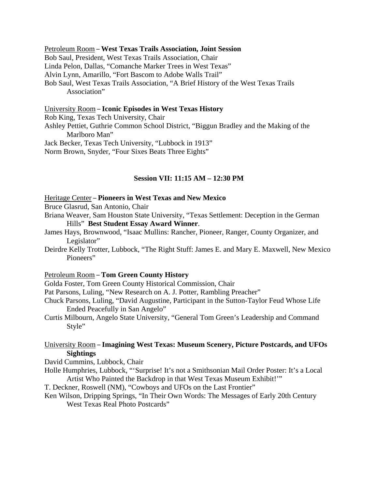#### Petroleum Room – **West Texas Trails Association, Joint Session** Bob Saul, President, West Texas Trails Association, Chair Linda Pelon, Dallas, "Comanche Marker Trees in West Texas" Alvin Lynn, Amarillo, "Fort Bascom to Adobe Walls Trail" Bob Saul, West Texas Trails Association, "A Brief History of the West Texas Trails Association"

University Room – **Iconic Episodes in West Texas History** Rob King, Texas Tech University, Chair Ashley Pettiet, Guthrie Common School District, "Biggun Bradley and the Making of the Marlboro Man" Jack Becker, Texas Tech University, "Lubbock in 1913" Norm Brown, Snyder, "Four Sixes Beats Three Eights"

#### **Session VII: 11:15 AM – 12:30 PM**

#### Heritage Center – **Pioneers in West Texas and New Mexico**

Bruce Glasrud, San Antonio, Chair

- Briana Weaver, Sam Houston State University, "Texas Settlement: Deception in the German Hills" **Best Student Essay Award Winner**.
- James Hays, Brownwood, "Isaac Mullins: Rancher, Pioneer, Ranger, County Organizer, and Legislator"
- Deirdre Kelly Trotter, Lubbock, "The Right Stuff: James E. and Mary E. Maxwell, New Mexico Pioneers"

#### Petroleum Room – **Tom Green County History**

Golda Foster, Tom Green County Historical Commission, Chair

Pat Parsons, Luling, "New Research on A. J. Potter, Rambling Preacher"

- Chuck Parsons, Luling, "David Augustine, Participant in the Sutton-Taylor Feud Whose Life Ended Peacefully in San Angelo"
- Curtis Milbourn, Angelo State University, "General Tom Green's Leadership and Command Style"

#### University Room – **Imagining West Texas: Museum Scenery, Picture Postcards, and UFOs Sightings**

David Cummins, Lubbock, Chair

- Holle Humphries, Lubbock, "'Surprise! It's not a Smithsonian Mail Order Poster: It's a Local Artist Who Painted the Backdrop in that West Texas Museum Exhibit!'"
- T. Deckner, Roswell (NM), "Cowboys and UFOs on the Last Frontier"
- Ken Wilson, Dripping Springs, "In Their Own Words: The Messages of Early 20th Century West Texas Real Photo Postcards"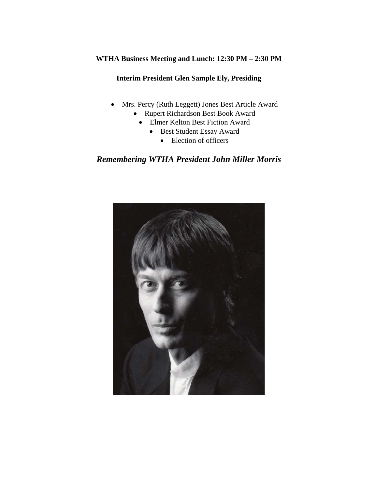# **WTHA Business Meeting and Lunch: 12:30 PM – 2:30 PM**

## **Interim President Glen Sample Ely, Presiding**

- Mrs. Percy (Ruth Leggett) Jones Best Article Award
	- Rupert Richardson Best Book Award
		- Elmer Kelton Best Fiction Award
			- Best Student Essay Award
				- Election of officers

# *Remembering WTHA President John Miller Morris*

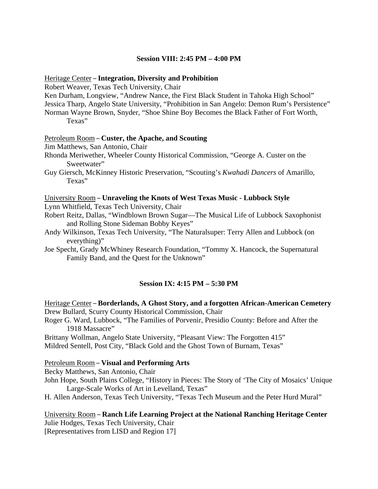#### **Session VIII: 2:45 PM – 4:00 PM**

#### Heritage Center – **Integration, Diversity and Prohibition**

Robert Weaver, Texas Tech University, Chair

Ken Durham, Longview, "Andrew Nance, the First Black Student in Tahoka High School" Jessica Tharp, Angelo State University, "Prohibition in San Angelo: Demon Rum's Persistence" Norman Wayne Brown, Snyder, "Shoe Shine Boy Becomes the Black Father of Fort Worth, Texas"

#### Petroleum Room – **Custer, the Apache, and Scouting**

Jim Matthews, San Antonio, Chair

Rhonda Meriwether, Wheeler County Historical Commission, "George A. Custer on the Sweetwater"

Guy Giersch, McKinney Historic Preservation, "Scouting's *Kwahadi Dancers* of Amarillo, Texas"

#### University Room – **Unraveling the Knots of West Texas Music - Lubbock Style**

Lynn Whitfield, Texas Tech University, Chair

Robert Reitz, Dallas, "Windblown Brown Sugar—The Musical Life of Lubbock Saxophonist and Rolling Stone Sideman Bobby Keyes"

Andy Wilkinson, Texas Tech University, "The Naturalsuper: Terry Allen and Lubbock (on everything)"

Joe Specht, Grady McWhiney Research Foundation, "Tommy X. Hancock, the Supernatural Family Band, and the Quest for the Unknown"

# **Session IX: 4:15 PM – 5:30 PM**

Heritage Center – **Borderlands, A Ghost Story, and a forgotten African-American Cemetery** Drew Bullard, Scurry County Historical Commission, Chair Roger G. Ward, Lubbock, "The Families of Porvenir, Presidio County: Before and After the

1918 Massacre"

Brittany Wollman, Angelo State University, "Pleasant View: The Forgotten 415" Mildred Sentell, Post City, "Black Gold and the Ghost Town of Burnam, Texas"

#### Petroleum Room – **Visual and Performing Arts**

Becky Matthews, San Antonio, Chair

John Hope, South Plains College, "History in Pieces: The Story of 'The City of Mosaics' Unique Large-Scale Works of Art in Levelland, Texas"

H. Allen Anderson, Texas Tech University, "Texas Tech Museum and the Peter Hurd Mural"

University Room – **Ranch Life Learning Project at the National Ranching Heritage Center** Julie Hodges, Texas Tech University, Chair [Representatives from LISD and Region 17]